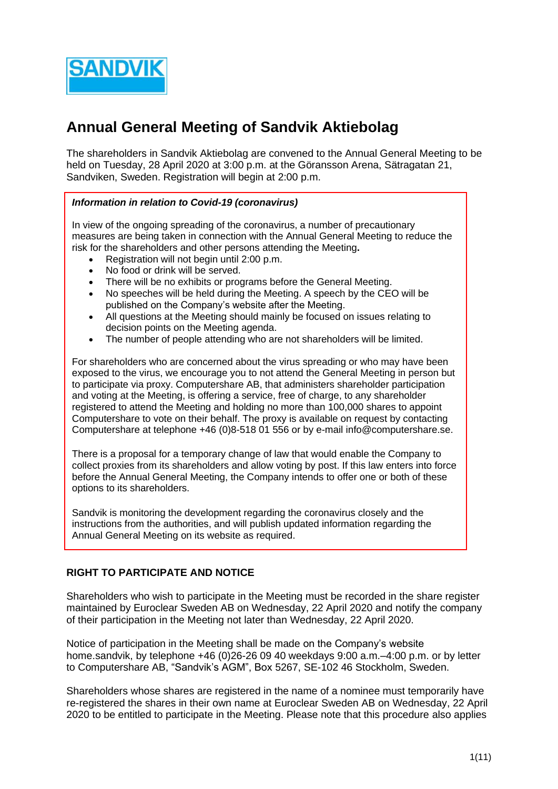

# **Annual General Meeting of Sandvik Aktiebolag**

The shareholders in Sandvik Aktiebolag are convened to the Annual General Meeting to be held on Tuesday, 28 April 2020 at 3:00 p.m. at the Göransson Arena, Sätragatan 21, Sandviken, Sweden. Registration will begin at 2:00 p.m.

#### *Information in relation to Covid-19 (coronavirus)*

In view of the ongoing spreading of the coronavirus, a number of precautionary measures are being taken in connection with the Annual General Meeting to reduce the risk for the shareholders and other persons attending the Meeting**.**

- Registration will not begin until 2:00 p.m.
- No food or drink will be served.
- There will be no exhibits or programs before the General Meeting.
- No speeches will be held during the Meeting. A speech by the CEO will be published on the Company's website after the Meeting.
- All questions at the Meeting should mainly be focused on issues relating to decision points on the Meeting agenda.
- The number of people attending who are not shareholders will be limited.

For shareholders who are concerned about the virus spreading or who may have been exposed to the virus, we encourage you to not attend the General Meeting in person but to participate via proxy. Computershare AB, that administers shareholder participation and voting at the Meeting, is offering a service, free of charge, to any shareholder registered to attend the Meeting and holding no more than 100,000 shares to appoint Computershare to vote on their behalf. The proxy is available on request by contacting Computershare at telephone +46 (0)8-518 01 556 or by e-mail [info@computershare.se.](mailto:info@computershare.se)

There is a proposal for a temporary change of law that would enable the Company to collect proxies from its shareholders and allow voting by post. If this law enters into force before the Annual General Meeting, the Company intends to offer one or both of these options to its shareholders.

Sandvik is monitoring the development regarding the coronavirus closely and the instructions from the authorities, and will publish updated information regarding the Annual General Meeting on its website as required.

# **RIGHT TO PARTICIPATE AND NOTICE**

Shareholders who wish to participate in the Meeting must be recorded in the share register maintained by Euroclear Sweden AB on Wednesday, 22 April 2020 and notify the company of their participation in the Meeting not later than Wednesday, 22 April 2020.

Notice of participation in the Meeting shall be made on the Company's website [home.sandvik,](http://www.sandvik.com/) by telephone +46 (0)26-26 09 40 weekdays 9:00 a.m.–4:00 p.m. or by letter to Computershare AB, "Sandvik's AGM", Box 5267, SE-102 46 Stockholm, Sweden.

Shareholders whose shares are registered in the name of a nominee must temporarily have re-registered the shares in their own name at Euroclear Sweden AB on Wednesday, 22 April 2020 to be entitled to participate in the Meeting. Please note that this procedure also applies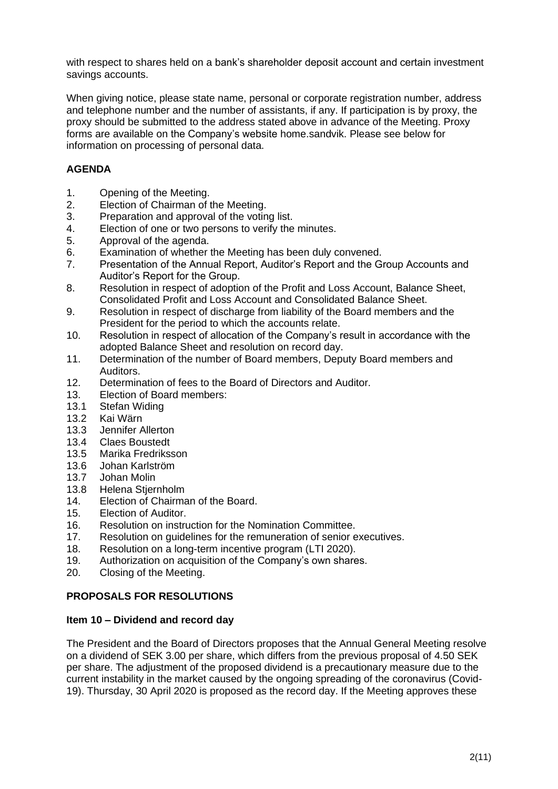with respect to shares held on a bank's shareholder deposit account and certain investment savings accounts.

When giving notice, please state name, personal or corporate registration number, address and telephone number and the number of assistants, if any. If participation is by proxy, the proxy should be submitted to the address stated above in advance of the Meeting. Proxy forms are available on the Company's website home.sandvik. Please see below for information on processing of personal data.

# **AGENDA**

- 1. Opening of the Meeting.
- 2. Election of Chairman of the Meeting.
- 3. Preparation and approval of the voting list.
- 4. Election of one or two persons to verify the minutes.
- 5. Approval of the agenda.
- 6. Examination of whether the Meeting has been duly convened.
- 7. Presentation of the Annual Report, Auditor's Report and the Group Accounts and Auditor's Report for the Group.
- 8. Resolution in respect of adoption of the Profit and Loss Account, Balance Sheet, Consolidated Profit and Loss Account and Consolidated Balance Sheet.
- 9. Resolution in respect of discharge from liability of the Board members and the President for the period to which the accounts relate.
- 10. Resolution in respect of allocation of the Company's result in accordance with the adopted Balance Sheet and resolution on record day.
- 11. Determination of the number of Board members, Deputy Board members and Auditors.
- 12. Determination of fees to the Board of Directors and Auditor.
- 13. Election of Board members:
- 13.1 Stefan Widing
- 13.2 Kai Wärn
- 13.3 Jennifer Allerton
- 13.4 Claes Boustedt<br>13.5 Marika Fredrikss
- Marika Fredriksson
- 13.6 Johan Karlström
- 13.7 Johan Molin
- 13.8 Helena Stiernholm
- 14. Election of Chairman of the Board.
- 15. Election of Auditor.
- 16. Resolution on instruction for the Nomination Committee.
- 17. Resolution on guidelines for the remuneration of senior executives.
- 18. Resolution on a long-term incentive program (LTI 2020).
- 19. Authorization on acquisition of the Company's own shares.
- 20. Closing of the Meeting.

# **PROPOSALS FOR RESOLUTIONS**

#### **Item 10 – Dividend and record day**

The President and the Board of Directors proposes that the Annual General Meeting resolve on a dividend of SEK 3.00 per share, which differs from the previous proposal of 4.50 SEK per share. The adjustment of the proposed dividend is a precautionary measure due to the current instability in the market caused by the ongoing spreading of the coronavirus (Covid-19). Thursday, 30 April 2020 is proposed as the record day. If the Meeting approves these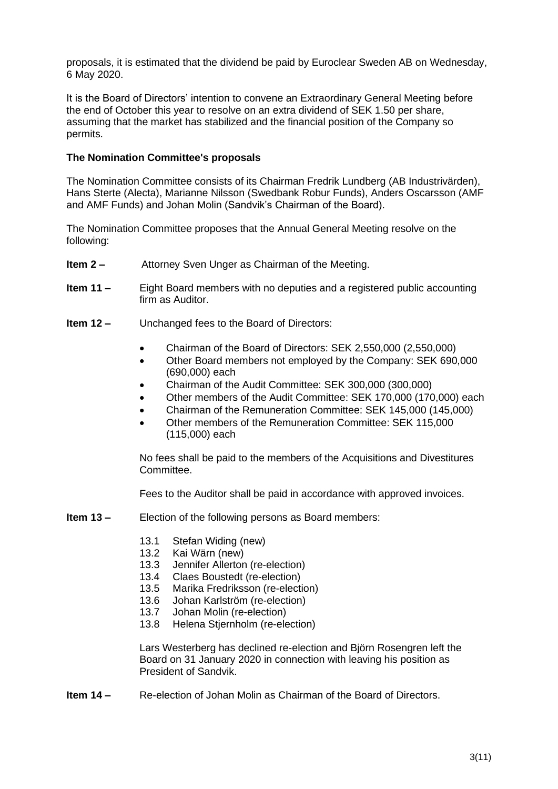proposals, it is estimated that the dividend be paid by Euroclear Sweden AB on Wednesday, 6 May 2020.

It is the Board of Directors' intention to convene an Extraordinary General Meeting before the end of October this year to resolve on an extra dividend of SEK 1.50 per share, assuming that the market has stabilized and the financial position of the Company so permits.

#### **The Nomination Committee's proposals**

The Nomination Committee consists of its Chairman Fredrik Lundberg (AB Industrivärden), Hans Sterte (Alecta), Marianne Nilsson (Swedbank Robur Funds), Anders Oscarsson (AMF and AMF Funds) and Johan Molin (Sandvik's Chairman of the Board).

The Nomination Committee proposes that the Annual General Meeting resolve on the following:

- **Item 2 –** Attorney Sven Unger as Chairman of the Meeting.
- **Item 11 –** Eight Board members with no deputies and a registered public accounting firm as Auditor.
- **Item 12 –** Unchanged fees to the Board of Directors:
	- Chairman of the Board of Directors: SEK 2,550,000 (2,550,000)
	- Other Board members not employed by the Company: SEK 690,000 (690,000) each
	- Chairman of the Audit Committee: SEK 300,000 (300,000)
	- Other members of the Audit Committee: SEK 170,000 (170,000) each
	- Chairman of the Remuneration Committee: SEK 145,000 (145,000)
	- Other members of the Remuneration Committee: SEK 115,000 (115,000) each

No fees shall be paid to the members of the Acquisitions and Divestitures Committee.

Fees to the Auditor shall be paid in accordance with approved invoices.

- **Item 13 –** Election of the following persons as Board members:
	- 13.1 Stefan Widing (new)
	- 13.2 Kai Wärn (new)
	- 13.3 Jennifer Allerton (re-election)
	- 13.4 Claes Boustedt (re-election)
	- 13.5 Marika Fredriksson (re-election)
	- 13.6 Johan Karlström (re-election)
	- 13.7 Johan Molin (re-election)
	- 13.8 Helena Stjernholm (re-election)

Lars Westerberg has declined re-election and Björn Rosengren left the Board on 31 January 2020 in connection with leaving his position as President of Sandvik.

**Item 14 –** Re-election of Johan Molin as Chairman of the Board of Directors.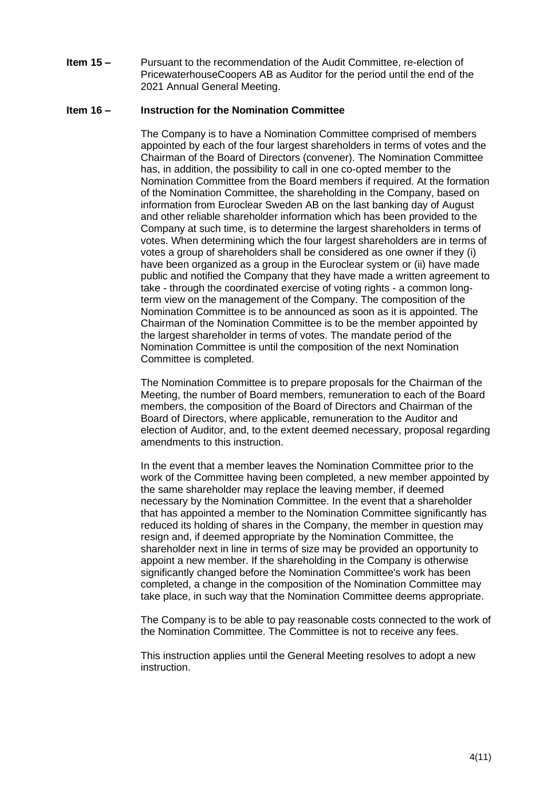**Item 15 –** Pursuant to the recommendation of the Audit Committee, re-election of PricewaterhouseCoopers AB as Auditor for the period until the end of the 2021 Annual General Meeting.

#### **Item 16 – Instruction for the Nomination Committee**

The Company is to have a Nomination Committee comprised of members appointed by each of the four largest shareholders in terms of votes and the Chairman of the Board of Directors (convener). The Nomination Committee has, in addition, the possibility to call in one co-opted member to the Nomination Committee from the Board members if required. At the formation of the Nomination Committee, the shareholding in the Company, based on information from Euroclear Sweden AB on the last banking day of August and other reliable shareholder information which has been provided to the Company at such time, is to determine the largest shareholders in terms of votes. When determining which the four largest shareholders are in terms of votes a group of shareholders shall be considered as one owner if they (i) have been organized as a group in the Euroclear system or (ii) have made public and notified the Company that they have made a written agreement to take - through the coordinated exercise of voting rights - a common longterm view on the management of the Company. The composition of the Nomination Committee is to be announced as soon as it is appointed. The Chairman of the Nomination Committee is to be the member appointed by the largest shareholder in terms of votes. The mandate period of the Nomination Committee is until the composition of the next Nomination Committee is completed.

The Nomination Committee is to prepare proposals for the Chairman of the Meeting, the number of Board members, remuneration to each of the Board members, the composition of the Board of Directors and Chairman of the Board of Directors, where applicable, remuneration to the Auditor and election of Auditor, and, to the extent deemed necessary, proposal regarding amendments to this instruction.

In the event that a member leaves the Nomination Committee prior to the work of the Committee having been completed, a new member appointed by the same shareholder may replace the leaving member, if deemed necessary by the Nomination Committee. In the event that a shareholder that has appointed a member to the Nomination Committee significantly has reduced its holding of shares in the Company, the member in question may resign and, if deemed appropriate by the Nomination Committee, the shareholder next in line in terms of size may be provided an opportunity to appoint a new member. If the shareholding in the Company is otherwise significantly changed before the Nomination Committee's work has been completed, a change in the composition of the Nomination Committee may take place, in such way that the Nomination Committee deems appropriate.

The Company is to be able to pay reasonable costs connected to the work of the Nomination Committee. The Committee is not to receive any fees.

This instruction applies until the General Meeting resolves to adopt a new instruction.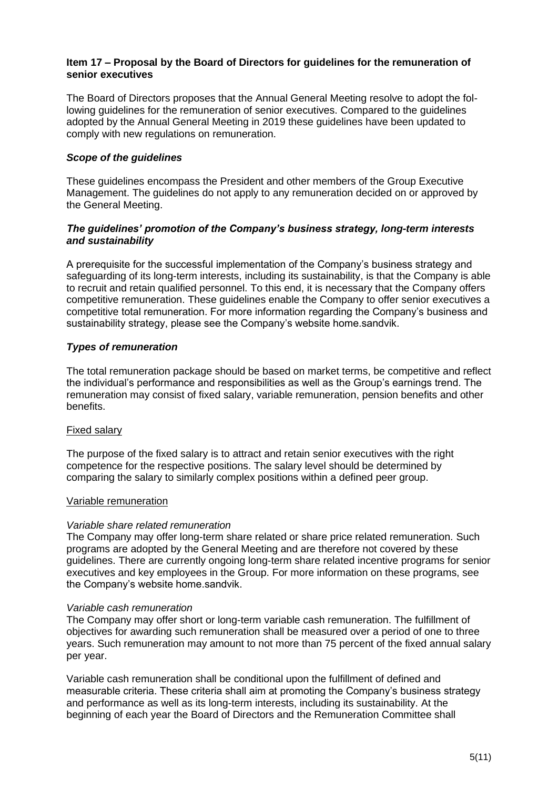#### **Item 17 – Proposal by the Board of Directors for guidelines for the remuneration of senior executives**

The Board of Directors proposes that the Annual General Meeting resolve to adopt the following guidelines for the remuneration of senior executives. Compared to the guidelines adopted by the Annual General Meeting in 2019 these guidelines have been updated to comply with new regulations on remuneration.

# *Scope of the guidelines*

These guidelines encompass the President and other members of the Group Executive Management. The guidelines do not apply to any remuneration decided on or approved by the General Meeting.

# *The guidelines' promotion of the Company's business strategy, long-term interests and sustainability*

A prerequisite for the successful implementation of the Company's business strategy and safeguarding of its long-term interests, including its sustainability, is that the Company is able to recruit and retain qualified personnel. To this end, it is necessary that the Company offers competitive remuneration. These guidelines enable the Company to offer senior executives a competitive total remuneration. For more information regarding the Company's business and sustainability strategy, please see the Company's website home.sandvik.

# *Types of remuneration*

The total remuneration package should be based on market terms, be competitive and reflect the individual's performance and responsibilities as well as the Group's earnings trend. The remuneration may consist of fixed salary, variable remuneration, pension benefits and other benefits.

# Fixed salary

The purpose of the fixed salary is to attract and retain senior executives with the right competence for the respective positions. The salary level should be determined by comparing the salary to similarly complex positions within a defined peer group.

# Variable remuneration

# *Variable share related remuneration*

The Company may offer long-term share related or share price related remuneration. Such programs are adopted by the General Meeting and are therefore not covered by these guidelines. There are currently ongoing long-term share related incentive programs for senior executives and key employees in the Group. For more information on these programs, see the Company's website home.sandvik.

#### *Variable cash remuneration*

The Company may offer short or long-term variable cash remuneration. The fulfillment of objectives for awarding such remuneration shall be measured over a period of one to three years. Such remuneration may amount to not more than 75 percent of the fixed annual salary per year.

Variable cash remuneration shall be conditional upon the fulfillment of defined and measurable criteria. These criteria shall aim at promoting the Company's business strategy and performance as well as its long-term interests, including its sustainability. At the beginning of each year the Board of Directors and the Remuneration Committee shall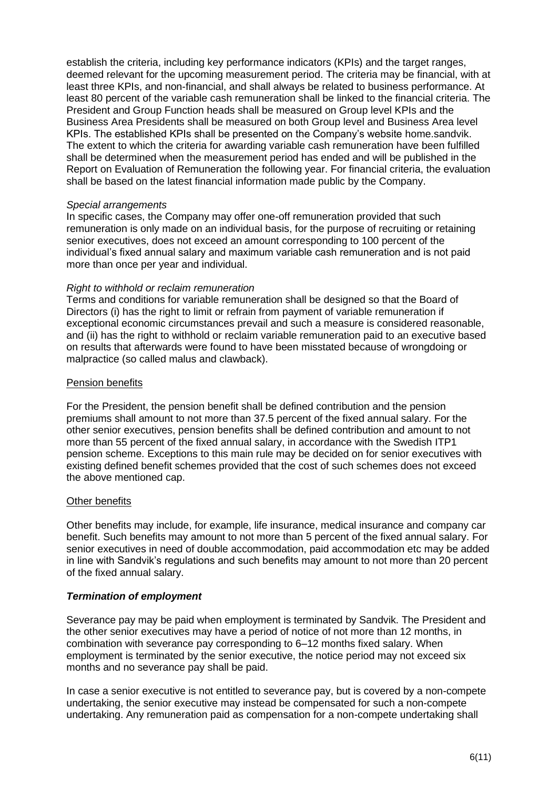establish the criteria, including key performance indicators (KPIs) and the target ranges, deemed relevant for the upcoming measurement period. The criteria may be financial, with at least three KPIs, and non-financial, and shall always be related to business performance. At least 80 percent of the variable cash remuneration shall be linked to the financial criteria. The President and Group Function heads shall be measured on Group level KPIs and the Business Area Presidents shall be measured on both Group level and Business Area level KPIs. The established KPIs shall be presented on the Company's website home.sandvik. The extent to which the criteria for awarding variable cash remuneration have been fulfilled shall be determined when the measurement period has ended and will be published in the Report on Evaluation of Remuneration the following year. For financial criteria, the evaluation shall be based on the latest financial information made public by the Company.

#### *Special arrangements*

In specific cases, the Company may offer one-off remuneration provided that such remuneration is only made on an individual basis, for the purpose of recruiting or retaining senior executives, does not exceed an amount corresponding to 100 percent of the individual's fixed annual salary and maximum variable cash remuneration and is not paid more than once per year and individual.

#### *Right to withhold or reclaim remuneration*

Terms and conditions for variable remuneration shall be designed so that the Board of Directors (i) has the right to limit or refrain from payment of variable remuneration if exceptional economic circumstances prevail and such a measure is considered reasonable, and (ii) has the right to withhold or reclaim variable remuneration paid to an executive based on results that afterwards were found to have been misstated because of wrongdoing or malpractice (so called malus and clawback).

#### Pension benefits

For the President, the pension benefit shall be defined contribution and the pension premiums shall amount to not more than 37.5 percent of the fixed annual salary. For the other senior executives, pension benefits shall be defined contribution and amount to not more than 55 percent of the fixed annual salary, in accordance with the Swedish ITP1 pension scheme. Exceptions to this main rule may be decided on for senior executives with existing defined benefit schemes provided that the cost of such schemes does not exceed the above mentioned cap.

#### Other benefits

Other benefits may include, for example, life insurance, medical insurance and company car benefit. Such benefits may amount to not more than 5 percent of the fixed annual salary. For senior executives in need of double accommodation, paid accommodation etc may be added in line with Sandvik's regulations and such benefits may amount to not more than 20 percent of the fixed annual salary.

#### *Termination of employment*

Severance pay may be paid when employment is terminated by Sandvik. The President and the other senior executives may have a period of notice of not more than 12 months, in combination with severance pay corresponding to 6–12 months fixed salary. When employment is terminated by the senior executive, the notice period may not exceed six months and no severance pay shall be paid.

In case a senior executive is not entitled to severance pay, but is covered by a non-compete undertaking, the senior executive may instead be compensated for such a non-compete undertaking. Any remuneration paid as compensation for a non-compete undertaking shall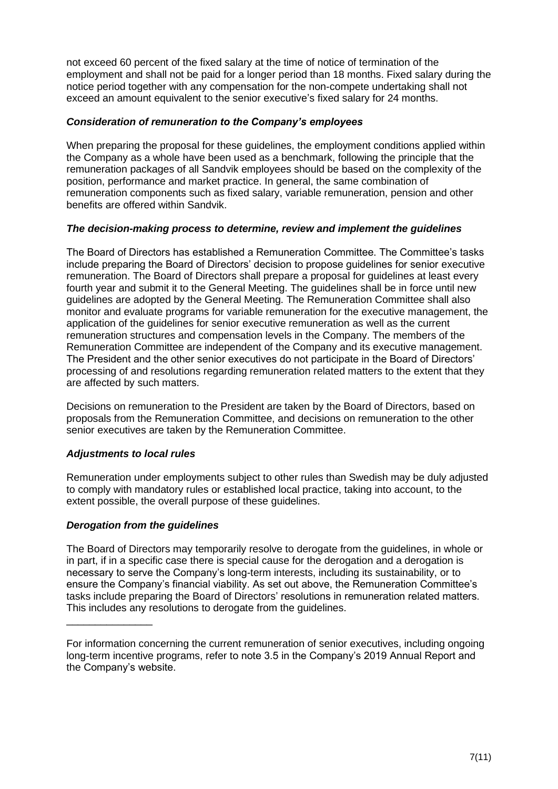not exceed 60 percent of the fixed salary at the time of notice of termination of the employment and shall not be paid for a longer period than 18 months. Fixed salary during the notice period together with any compensation for the non-compete undertaking shall not exceed an amount equivalent to the senior executive's fixed salary for 24 months.

# *Consideration of remuneration to the Company's employees*

When preparing the proposal for these guidelines, the employment conditions applied within the Company as a whole have been used as a benchmark, following the principle that the remuneration packages of all Sandvik employees should be based on the complexity of the position, performance and market practice. In general, the same combination of remuneration components such as fixed salary, variable remuneration, pension and other benefits are offered within Sandvik.

# *The decision-making process to determine, review and implement the guidelines*

The Board of Directors has established a Remuneration Committee. The Committee's tasks include preparing the Board of Directors' decision to propose guidelines for senior executive remuneration. The Board of Directors shall prepare a proposal for guidelines at least every fourth year and submit it to the General Meeting. The guidelines shall be in force until new guidelines are adopted by the General Meeting. The Remuneration Committee shall also monitor and evaluate programs for variable remuneration for the executive management, the application of the guidelines for senior executive remuneration as well as the current remuneration structures and compensation levels in the Company. The members of the Remuneration Committee are independent of the Company and its executive management. The President and the other senior executives do not participate in the Board of Directors' processing of and resolutions regarding remuneration related matters to the extent that they are affected by such matters.

Decisions on remuneration to the President are taken by the Board of Directors, based on proposals from the Remuneration Committee, and decisions on remuneration to the other senior executives are taken by the Remuneration Committee.

# *Adjustments to local rules*

Remuneration under employments subject to other rules than Swedish may be duly adjusted to comply with mandatory rules or established local practice, taking into account, to the extent possible, the overall purpose of these guidelines.

# *Derogation from the guidelines*

\_\_\_\_\_\_\_\_\_\_\_\_\_\_\_

The Board of Directors may temporarily resolve to derogate from the guidelines, in whole or in part, if in a specific case there is special cause for the derogation and a derogation is necessary to serve the Company's long-term interests, including its sustainability, or to ensure the Company's financial viability. As set out above, the Remuneration Committee's tasks include preparing the Board of Directors' resolutions in remuneration related matters. This includes any resolutions to derogate from the guidelines.

For information concerning the current remuneration of senior executives, including ongoing long-term incentive programs, refer to note 3.5 in the Company's 2019 Annual Report and the Company's website.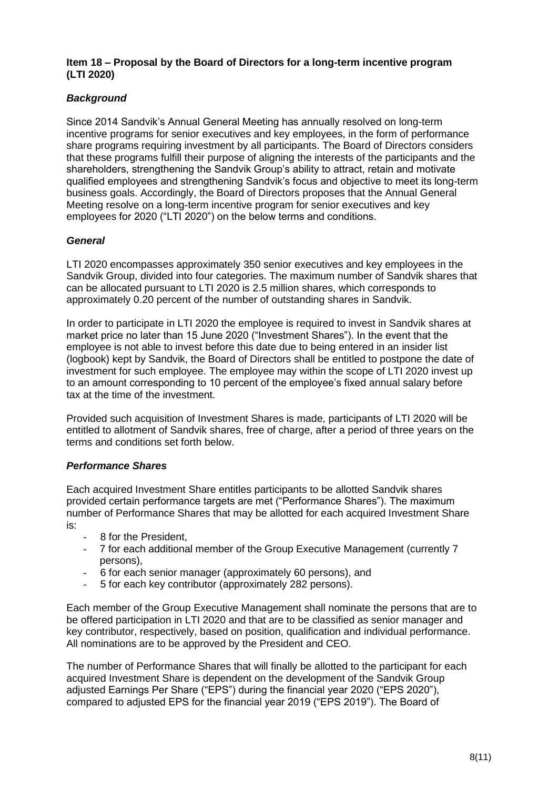#### **Item 18 – Proposal by the Board of Directors for a long-term incentive program (LTI 2020)**

# *Background*

Since 2014 Sandvik's Annual General Meeting has annually resolved on long-term incentive programs for senior executives and key employees, in the form of performance share programs requiring investment by all participants. The Board of Directors considers that these programs fulfill their purpose of aligning the interests of the participants and the shareholders, strengthening the Sandvik Group's ability to attract, retain and motivate qualified employees and strengthening Sandvik's focus and objective to meet its long-term business goals. Accordingly, the Board of Directors proposes that the Annual General Meeting resolve on a long-term incentive program for senior executives and key employees for 2020 ("LTI 2020") on the below terms and conditions.

# *General*

LTI 2020 encompasses approximately 350 senior executives and key employees in the Sandvik Group, divided into four categories. The maximum number of Sandvik shares that can be allocated pursuant to LTI 2020 is 2.5 million shares, which corresponds to approximately 0.20 percent of the number of outstanding shares in Sandvik.

In order to participate in LTI 2020 the employee is required to invest in Sandvik shares at market price no later than 15 June 2020 ("Investment Shares"). In the event that the employee is not able to invest before this date due to being entered in an insider list (logbook) kept by Sandvik, the Board of Directors shall be entitled to postpone the date of investment for such employee. The employee may within the scope of LTI 2020 invest up to an amount corresponding to 10 percent of the employee's fixed annual salary before tax at the time of the investment.

Provided such acquisition of Investment Shares is made, participants of LTI 2020 will be entitled to allotment of Sandvik shares, free of charge, after a period of three years on the terms and conditions set forth below.

# *Performance Shares*

Each acquired Investment Share entitles participants to be allotted Sandvik shares provided certain performance targets are met ("Performance Shares"). The maximum number of Performance Shares that may be allotted for each acquired Investment Share is:

- 8 for the President,
- 7 for each additional member of the Group Executive Management (currently 7 persons),
- 6 for each senior manager (approximately 60 persons), and
- 5 for each key contributor (approximately 282 persons).

Each member of the Group Executive Management shall nominate the persons that are to be offered participation in LTI 2020 and that are to be classified as senior manager and key contributor, respectively, based on position, qualification and individual performance. All nominations are to be approved by the President and CEO.

The number of Performance Shares that will finally be allotted to the participant for each acquired Investment Share is dependent on the development of the Sandvik Group adjusted Earnings Per Share ("EPS") during the financial year 2020 ("EPS 2020"), compared to adjusted EPS for the financial year 2019 ("EPS 2019"). The Board of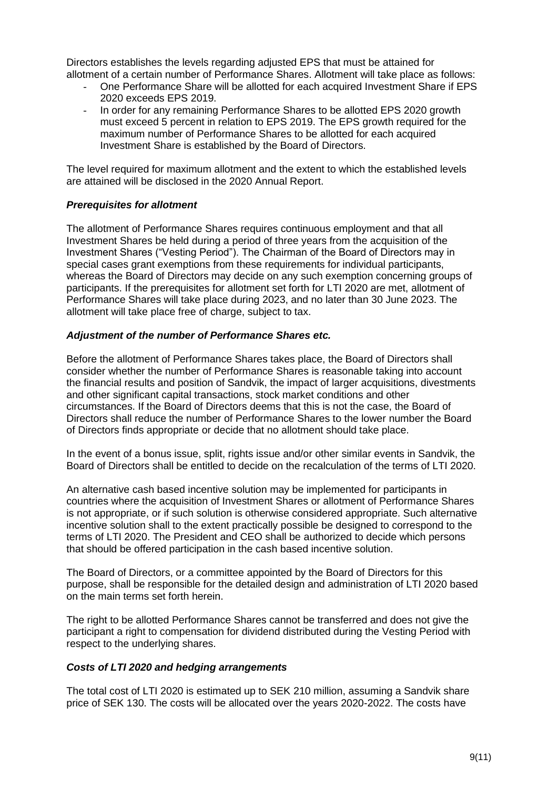Directors establishes the levels regarding adjusted EPS that must be attained for allotment of a certain number of Performance Shares. Allotment will take place as follows:

- One Performance Share will be allotted for each acquired Investment Share if EPS 2020 exceeds EPS 2019.
- In order for any remaining Performance Shares to be allotted EPS 2020 growth must exceed 5 percent in relation to EPS 2019. The EPS growth required for the maximum number of Performance Shares to be allotted for each acquired Investment Share is established by the Board of Directors.

The level required for maximum allotment and the extent to which the established levels are attained will be disclosed in the 2020 Annual Report.

# *Prerequisites for allotment*

The allotment of Performance Shares requires continuous employment and that all Investment Shares be held during a period of three years from the acquisition of the Investment Shares ("Vesting Period"). The Chairman of the Board of Directors may in special cases grant exemptions from these requirements for individual participants, whereas the Board of Directors may decide on any such exemption concerning groups of participants. If the prerequisites for allotment set forth for LTI 2020 are met, allotment of Performance Shares will take place during 2023, and no later than 30 June 2023. The allotment will take place free of charge, subject to tax.

#### *Adjustment of the number of Performance Shares etc.*

Before the allotment of Performance Shares takes place, the Board of Directors shall consider whether the number of Performance Shares is reasonable taking into account the financial results and position of Sandvik, the impact of larger acquisitions, divestments and other significant capital transactions, stock market conditions and other circumstances. If the Board of Directors deems that this is not the case, the Board of Directors shall reduce the number of Performance Shares to the lower number the Board of Directors finds appropriate or decide that no allotment should take place.

In the event of a bonus issue, split, rights issue and/or other similar events in Sandvik, the Board of Directors shall be entitled to decide on the recalculation of the terms of LTI 2020.

An alternative cash based incentive solution may be implemented for participants in countries where the acquisition of Investment Shares or allotment of Performance Shares is not appropriate, or if such solution is otherwise considered appropriate. Such alternative incentive solution shall to the extent practically possible be designed to correspond to the terms of LTI 2020. The President and CEO shall be authorized to decide which persons that should be offered participation in the cash based incentive solution.

The Board of Directors, or a committee appointed by the Board of Directors for this purpose, shall be responsible for the detailed design and administration of LTI 2020 based on the main terms set forth herein.

The right to be allotted Performance Shares cannot be transferred and does not give the participant a right to compensation for dividend distributed during the Vesting Period with respect to the underlying shares.

#### *Costs of LTI 2020 and hedging arrangements*

The total cost of LTI 2020 is estimated up to SEK 210 million, assuming a Sandvik share price of SEK 130. The costs will be allocated over the years 2020-2022. The costs have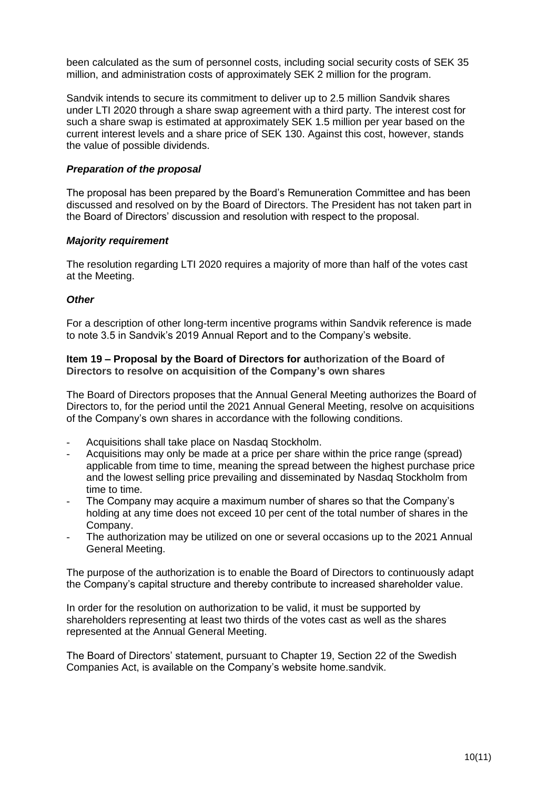been calculated as the sum of personnel costs, including social security costs of SEK 35 million, and administration costs of approximately SEK 2 million for the program.

Sandvik intends to secure its commitment to deliver up to 2.5 million Sandvik shares under LTI 2020 through a share swap agreement with a third party. The interest cost for such a share swap is estimated at approximately SEK 1.5 million per year based on the current interest levels and a share price of SEK 130. Against this cost, however, stands the value of possible dividends.

#### *Preparation of the proposal*

The proposal has been prepared by the Board's Remuneration Committee and has been discussed and resolved on by the Board of Directors. The President has not taken part in the Board of Directors' discussion and resolution with respect to the proposal.

#### *Majority requirement*

The resolution regarding LTI 2020 requires a majority of more than half of the votes cast at the Meeting.

#### *Other*

For a description of other long-term incentive programs within Sandvik reference is made to note 3.5 in Sandvik's 2019 Annual Report and to the Company's website.

#### **Item 19 – Proposal by the Board of Directors for authorization of the Board of Directors to resolve on acquisition of the Company's own shares**

The Board of Directors proposes that the Annual General Meeting authorizes the Board of Directors to, for the period until the 2021 Annual General Meeting, resolve on acquisitions of the Company's own shares in accordance with the following conditions.

- Acquisitions shall take place on Nasdaq Stockholm.
- Acquisitions may only be made at a price per share within the price range (spread) applicable from time to time, meaning the spread between the highest purchase price and the lowest selling price prevailing and disseminated by Nasdaq Stockholm from time to time.
- The Company may acquire a maximum number of shares so that the Company's holding at any time does not exceed 10 per cent of the total number of shares in the Company.
- The authorization may be utilized on one or several occasions up to the 2021 Annual General Meeting.

The purpose of the authorization is to enable the Board of Directors to continuously adapt the Company's capital structure and thereby contribute to increased shareholder value.

In order for the resolution on authorization to be valid, it must be supported by shareholders representing at least two thirds of the votes cast as well as the shares represented at the Annual General Meeting.

The Board of Directors' statement, pursuant to Chapter 19, Section 22 of the Swedish Companies Act, is available on the Company's website [home.sandvik.](http://www.sandvik.com/en)